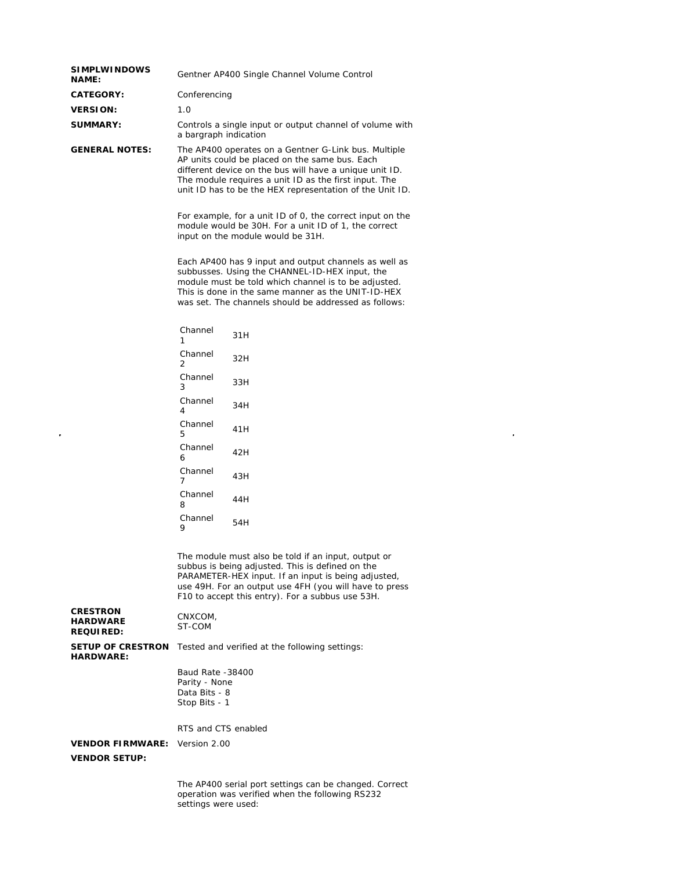| <b>SIMPLWINDOWS</b><br><b>NAME:</b>                    | Gentner AP400 Single Channel Volume Control                                                                                                                                                                                                                                            |     |  |
|--------------------------------------------------------|----------------------------------------------------------------------------------------------------------------------------------------------------------------------------------------------------------------------------------------------------------------------------------------|-----|--|
| <b>CATEGORY:</b>                                       | Conferencing                                                                                                                                                                                                                                                                           |     |  |
| <b>VERSION:</b>                                        | 1.0                                                                                                                                                                                                                                                                                    |     |  |
| <b>SUMMARY:</b>                                        | Controls a single input or output channel of volume with<br>a bargraph indication                                                                                                                                                                                                      |     |  |
| <b>GENERAL NOTES:</b>                                  | The AP400 operates on a Gentner G-Link bus. Multiple<br>AP units could be placed on the same bus. Each<br>different device on the bus will have a unique unit ID.<br>The module requires a unit ID as the first input. The<br>unit ID has to be the HEX representation of the Unit ID. |     |  |
|                                                        | For example, for a unit ID of 0, the correct input on the<br>module would be 30H. For a unit ID of 1, the correct<br>input on the module would be 31H.                                                                                                                                 |     |  |
|                                                        | Each AP400 has 9 input and output channels as well as<br>subbusses. Using the CHANNEL-ID-HEX input, the<br>module must be told which channel is to be adjusted.<br>This is done in the same manner as the UNIT-ID-HEX<br>was set. The channels should be addressed as follows:         |     |  |
|                                                        | Channel<br>1                                                                                                                                                                                                                                                                           | 31H |  |
|                                                        | Channel<br>$\overline{2}$                                                                                                                                                                                                                                                              | 32H |  |
|                                                        | Channel<br>3                                                                                                                                                                                                                                                                           | 33H |  |
|                                                        | Channel<br>4                                                                                                                                                                                                                                                                           | 34H |  |
|                                                        | Channel<br>5                                                                                                                                                                                                                                                                           | 41H |  |
|                                                        | Channel<br>6                                                                                                                                                                                                                                                                           | 42H |  |
|                                                        | Channel<br>7                                                                                                                                                                                                                                                                           | 43H |  |
|                                                        | Channel<br>8                                                                                                                                                                                                                                                                           | 44H |  |
|                                                        | Channel<br>9                                                                                                                                                                                                                                                                           | 54H |  |
|                                                        | The module must also be told if an input, output or<br>subbus is being adjusted. This is defined on the<br>PARAMETER-HEX input. If an input is being adjusted,<br>use 49H. For an output use 4FH (you will have to press<br>F10 to accept this entry). For a subbus use 53H.           |     |  |
| <b>CRESTRON</b><br><b>HARDWARE</b><br><b>REQUIRED:</b> | CNXCOM,<br>ST-COM                                                                                                                                                                                                                                                                      |     |  |
| <b>SETUP OF CRESTRON</b><br><b>HARDWARE:</b>           | Tested and verified at the following settings:                                                                                                                                                                                                                                         |     |  |
|                                                        | Baud Rate -38400<br>Parity - None<br>Data Bits - 8<br>Stop Bits - 1                                                                                                                                                                                                                    |     |  |
|                                                        | RTS and CTS enabled                                                                                                                                                                                                                                                                    |     |  |
| <b>VENDOR FIRMWARE:</b><br><b>VENDOR SETUP:</b>        | Version 2.00                                                                                                                                                                                                                                                                           |     |  |
|                                                        |                                                                                                                                                                                                                                                                                        |     |  |

 $\sim$ 

 $\hat{\mathcal{A}}$ 

The AP400 serial port settings can be changed. Correct operation was verified when the following RS232 settings were used: